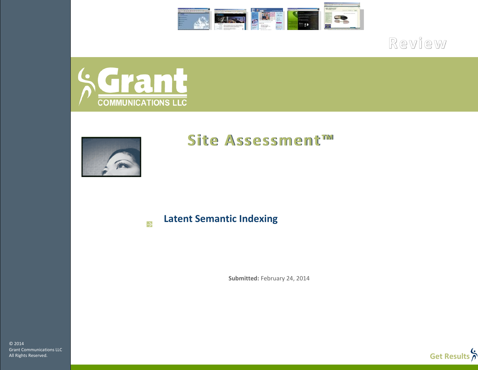

Review



k.



# **Site Assessment™**

**Latent Semantic Indexing** 

**Submitted:** February 24, 2014

© 2014 Grant Communications LLC All Rights Reserved.

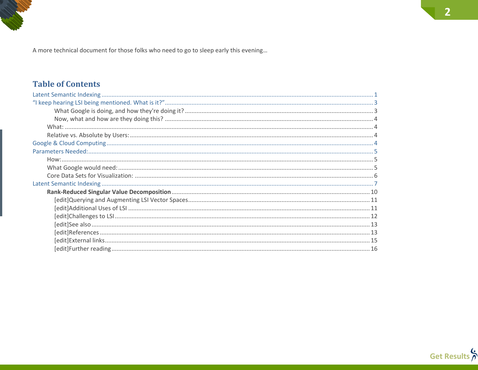A more technical document for those folks who need to go to sleep early this evening...

# **Table of Contents**



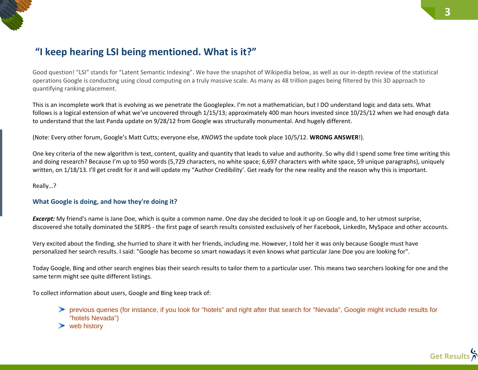# <span id="page-2-0"></span>**"I keep hearing LSI being mentioned. What is it?"**

Good question! "LSI" stands for "Latent Semantic Indexing". We have the snapshot of Wikipedia below, as well as our in-depth review of the statistical operations Google is conducting using cloud computing on a truly massive scale. As many as 48 trillion pages being filtered by this 3D approach to quantifying ranking placement.

This is an incomplete work that is evolving as we penetrate the Googleplex. I'm not a mathematician, but I DO understand logic and data sets. What follows is a logical extension of what we've uncovered through 1/15/13; approximately 400 man hours invested since 10/25/12 when we had enough data to understand that the last Panda update on 9/28/12 from Google was structurally monumental. And hugely different.

(Note: Every other forum, Google's Matt Cutts; everyone else, *KNOWS* the update took place 10/5/12. **WRONG ANSWER**!).

One key criteria of the new algorithm is text, content, quality and quantity that leads to value and authority. So why did I spend some free time writing this and doing research? Because I'm up to 950 words (5,729 characters, no white space; 6,697 characters with white space, 59 unique paragraphs), uniquely written, on 1/18/13. I'll get credit for it and will update my "Author Credibility'. Get ready for the new reality and the reason why this is important.

<span id="page-2-1"></span>Really…?

#### **What Google is doing, and how they're doing it?**

*Excerpt:* My friend's name is Jane Doe, which is quite a common name. One day she decided to look it up on Google and, to her utmost surprise, discovered she totally dominated the SERPS - the first page of search results consisted exclusively of her Facebook, LinkedIn, MySpace and other accounts.

Very excited about the finding, she hurried to share it with her friends, including me. However, I told her it was only because Google must have personalized her search results. I said: "Google has become so smart nowadays it even knows what particular Jane Doe you are looking for".

Today Google, Bing and other search engines bias their search results to tailor them to a particular user. This means two searchers looking for one and the same term might see quite different listings.

To collect information about users, Google and Bing keep track of:

previous queries (for instance, if you look for "hotels" and right after that search for "Nevada", Google might include results for "hotels Nevada")

 $\triangleright$  web history

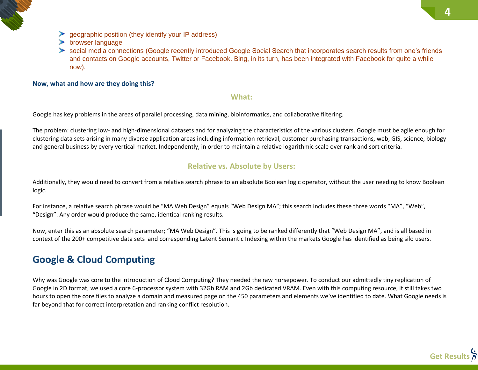

 $\blacktriangleright$  browser language

social media connections (Google recently introduced Google Social Search that incorporates search results from one's friends and contacts on Google accounts, Twitter or Facebook. Bing, in its turn, has been integrated with Facebook for quite a while now).

#### <span id="page-3-1"></span><span id="page-3-0"></span>**Now, what and how are they doing this?**

#### **What:**

Google has key problems in the areas of parallel processing, data mining, bioinformatics, and collaborative filtering.

The problem: clustering low- and high-dimensional datasets and for analyzing the characteristics of the various clusters. Google must be agile enough for clustering data sets arising in many diverse application areas including information retrieval, customer purchasing transactions, web, GIS, science, biology and general business by every vertical market. Independently, in order to maintain a relative logarithmic scale over rank and sort criteria.

### **Relative vs. Absolute by Users:**

<span id="page-3-2"></span>Additionally, they would need to convert from a relative search phrase to an absolute Boolean logic operator, without the user needing to know Boolean logic.

For instance, a relative search phrase would be "MA Web Design" equals "Web Design MA"; this search includes these three words "MA", "Web", "Design". Any order would produce the same, identical ranking results.

Now, enter this as an absolute search parameter; "MA Web Design". This is going to be ranked differently that "Web Design MA", and is all based in context of the 200+ competitive data sets and corresponding Latent Semantic Indexing within the markets Google has identified as being silo users.

# <span id="page-3-3"></span>**Google & Cloud Computing**

Why was Google was core to the introduction of Cloud Computing? They needed the raw horsepower. To conduct our admittedly tiny replication of Google in 2D format, we used a core 6-processor system with 32Gb RAM and 2Gb dedicated VRAM. Even with this computing resource, it still takes two hours to open the core files to analyze a domain and measured page on the 450 parameters and elements we've identified to date. What Google needs is far beyond that for correct interpretation and ranking conflict resolution.

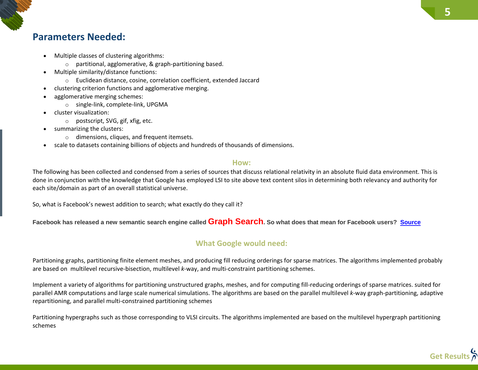# <span id="page-4-0"></span>**Parameters Needed:**

- Multiple classes of clustering algorithms:
	- o partitional, agglomerative, & graph-partitioning based.
- Multiple similarity/distance functions:
	- o Euclidean distance, cosine, correlation coefficient, extended Jaccard
- clustering criterion functions and agglomerative merging.
- agglomerative merging schemes:
	- o single-link, complete-link, UPGMA
- cluster visualization:
	- o postscript, SVG, gif, xfig, etc.
- summarizing the clusters:
	- o dimensions, cliques, and frequent itemsets.
- scale to datasets containing billions of objects and hundreds of thousands of dimensions.

### **How:**

<span id="page-4-1"></span>The following has been collected and condensed from a series of sources that discuss relational relativity in an absolute fluid data environment. This is done in conjunction with the knowledge that Google has employed LSI to site above text content silos in determining both relevancy and authority for each site/domain as part of an overall statistical universe.

So, what is Facebook's newest addition to search; what exactly do they call it?

<span id="page-4-2"></span>**Facebook has released a new semantic search engine called Graph Search. So what does that mean for Facebook users? [Source](http://www.csmonitor.com/Innovation/2013/0118/After-Facebook-Graph-Search-announcement-new-discussion-of-privacy)**

# **What Google would need:**

Partitioning graphs, partitioning finite element meshes, and producing fill reducing orderings for sparse matrices. The algorithms implemented probably are based on multilevel recursive-bisection, multilevel *k*-way, and multi-constraint partitioning schemes.

Implement a variety of algorithms for partitioning unstructured graphs, meshes, and for computing fill-reducing orderings of sparse matrices. suited for parallel AMR computations and large scale numerical simulations. The algorithms are based on the parallel multilevel *k*-way graph-partitioning, adaptive repartitioning, and parallel multi-constrained partitioning schemes

Partitioning hypergraphs such as those corresponding to VLSI circuits. The algorithms implemented are based on the multilevel hypergraph partitioning schemes

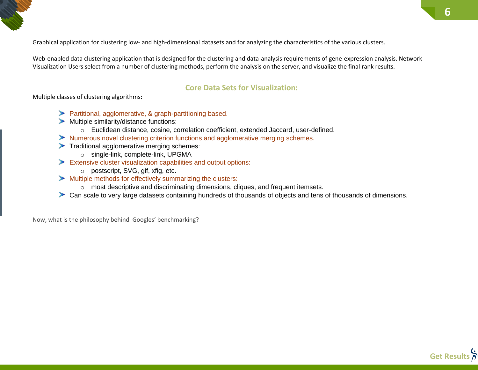Graphical application for clustering low- and high-dimensional datasets and for analyzing the characteristics of the various clusters.

Web-enabled data clustering application that is designed for the clustering and data-analysis requirements of gene-expression analysis. Network Visualization Users select from a number of clustering methods, perform the analysis on the server, and visualize the final rank results.

### **Core Data Sets for Visualization:**

<span id="page-5-0"></span>Multiple classes of clustering algorithms:

- Partitional, agglomerative, & graph-partitioning based.
- $\blacktriangleright$  Multiple similarity/distance functions:
	- o Euclidean distance, cosine, correlation coefficient, extended Jaccard, user-defined.
- Numerous novel clustering criterion functions and agglomerative merging schemes.
- Traditional agglomerative merging schemes:
	- o single-link, complete-link, UPGMA
- Extensive cluster visualization capabilities and output options:
	- o postscript, SVG, gif, xfig, etc.
- Multiple methods for effectively summarizing the clusters:
	- o most descriptive and discriminating dimensions, cliques, and frequent itemsets.
- Can scale to very large datasets containing hundreds of thousands of objects and tens of thousands of dimensions.

Now, what is the philosophy behind Googles' benchmarking?

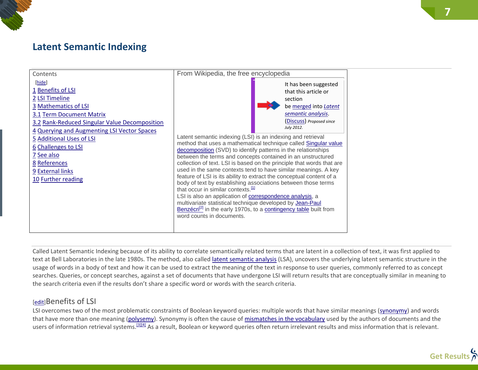# <span id="page-6-0"></span>**Latent Semantic Indexing**



Called Latent Semantic Indexing because of its ability to correlate semantically related terms that are latent in a collection of text, it was first applied to text at Bell Laboratories in the late 1980s. The method, also called [latent semantic analysis](http://en.wikipedia.org/wiki/Latent_semantic_analysis) (LSA), uncovers the underlying latent semantic structure in the usage of words in a body of text and how it can be used to extract the meaning of the text in response to user queries, commonly referred to as concept searches. Queries, or concept searches, against a set of documents that have undergone LSI will return results that are conceptually similar in meaning to the search criteria even if the results don't share a specific word or words with the search criteria.

### [\[edit\]](http://en.wikipedia.org/w/index.php?title=Latent_semantic_indexing&action=edit§ion=1)Benefits of LSI

LSI overcomes two of the most problematic constraints of Boolean keyword queries: multiple words that have similar meanings [\(synonymy\)](http://en.wikipedia.org/wiki/Synonymy) and words that have more than one meaning [\(polysemy\)](http://en.wikipedia.org/wiki/Polysemy). Synonymy is often the cause of [mismatches in the vocabulary](http://en.wikipedia.org/wiki/Vocabulary_mismatch) used by the authors of documents and the users of information retrieval systems.<sup>[\[3\]\[4\]](http://en.wikipedia.org/wiki/Latent_semantic_indexing#cite_note-3)</sup> As a result, Boolean or keyword queries often return irrelevant results and miss information that is relevant.

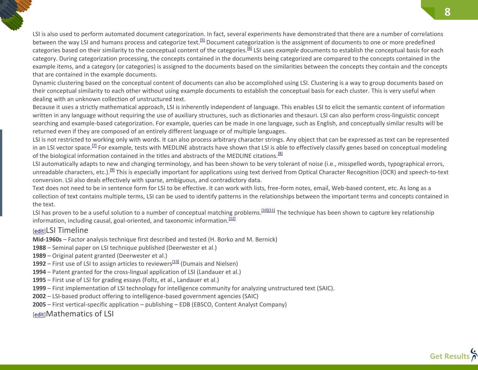LSI is also used to perform automated document categorization. In fact, several experiments have demonstrated that there are a number of correlations between the way LSI and humans process and categorize text.<sup>[\[5\]](http://en.wikipedia.org/wiki/Latent_semantic_indexing#cite_note-5)</sup> Document categorization is the assignment of documents to one or more predefined categories based on their similarity to the conceptual content of the categories.[\[6\]](http://en.wikipedia.org/wiki/Latent_semantic_indexing#cite_note-6) LSI uses *example* documents to establish the conceptual basis for each category. During categorization processing, the concepts contained in the documents being categorized are compared to the concepts contained in the example items, and a category (or categories) is assigned to the documents based on the similarities between the concepts they contain and the concepts that are contained in the example documents.

Dynamic clustering based on the conceptual content of documents can also be accomplished using LSI. Clustering is a way to group documents based on their conceptual similarity to each other without using example documents to establish the conceptual basis for each cluster. This is very useful when dealing with an unknown collection of unstructured text.

Because it uses a strictly mathematical approach, LSI is inherently independent of language. This enables LSI to elicit the semantic content of information written in any language without requiring the use of auxiliary structures, such as dictionaries and thesauri. LSI can also perform cross-linguistic concept searching and example-based categorization. For example, queries can be made in one language, such as English, and conceptually similar results will be returned even if they are composed of an entirely different language or of multiple languages.

LSI is not restricted to working only with words. It can also process arbitrary character strings. Any object that can be expressed as text can be represented in an LSI vector space.<sup>[2]</sup> For example, tests with MEDLINE abstracts have shown that LSI is able to effectively classify genes based on conceptual modeling of the biological information contained in the titles and abstracts of the MEDLINE citations.<sup>[\[8\]](http://en.wikipedia.org/wiki/Latent_semantic_indexing#cite_note-8)</sup>

LSI automatically adapts to new and changing terminology, and has been shown to be very tolerant of noise (i.e., misspelled words, typographical errors, unreadable characters, etc.).<sup>[\[9\]](http://en.wikipedia.org/wiki/Latent_semantic_indexing#cite_note-9)</sup> This is especially important for applications using text derived from Optical Character Recognition (OCR) and speech-to-text conversion. LSI also deals effectively with sparse, ambiguous, and contradictory data.

Text does not need to be in sentence form for LSI to be effective. It can work with lists, free-form notes, email, Web-based content, etc. As long as a collection of text contains multiple terms, LSI can be used to identify patterns in the relationships between the important terms and concepts contained in the text.

LSI has proven to be a useful solution to a number of conceptual matching problems.<sup>[\[10\]\[11\]](http://en.wikipedia.org/wiki/Latent_semantic_indexing#cite_note-10)</sup> The technique has been shown to capture key relationship information, including causal, goal-oriented, and taxonomic information. $\frac{[12]}{[12]}$  $\frac{[12]}{[12]}$  $\frac{[12]}{[12]}$ 

### [\[edit\]](http://en.wikipedia.org/w/index.php?title=Latent_semantic_indexing&action=edit§ion=2)LSI Timeline

**Mid-1960s** – Factor analysis technique first described and tested (H. Borko and M. Bernick)

**1988** – Seminal paper on LSI technique published (Deerwester et al.)

- **1989** Original patent granted (Deerwester et al.)
- **1992** First use of LSI to assign articles to reviewers<sup>[\[13\]](http://en.wikipedia.org/wiki/Latent_semantic_indexing#cite_note-13)</sup> (Dumais and Nielsen)
- **1994** Patent granted for the cross-lingual application of LSI (Landauer et al.)
- **1995** First use of LSI for grading essays (Foltz, et al., Landauer et al.)
- **1999** First implementation of LSI technology for intelligence community for analyzing unstructured text (SAIC).
- **2002** LSI-based product offering to intelligence-based government agencies (SAIC)
- **2005** First vertical-specific application publishing EDB (EBSCO, Content Analyst Company)

[\[edit\]](http://en.wikipedia.org/w/index.php?title=Latent_semantic_indexing&action=edit§ion=3)Mathematics of LSI

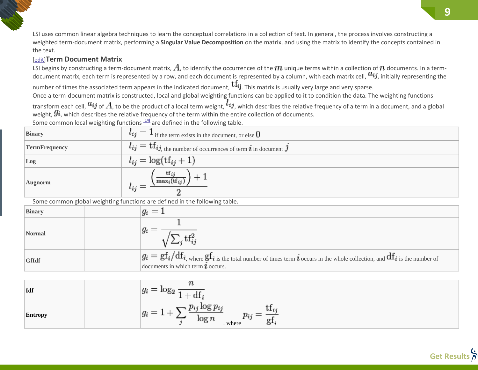LSI uses common linear algebra techniques to learn the conceptual correlations in a collection of text. In general, the process involves constructing a weighted term-document matrix, performing a **Singular Value Decomposition** on the matrix, and using the matrix to identify the concepts contained in the text.

### [\[edit\]](http://en.wikipedia.org/w/index.php?title=Latent_semantic_indexing&action=edit§ion=4)**Term Document Matrix**

LSI begins by constructing a term-document matrix,  $A$ , to identify the occurrences of the  $m$  unique terms within a collection of  $n$  documents. In a termdocument matrix, each term is represented by a row, and each document is represented by a column, with each matrix cell,  $a_{ij}$ , initially representing the

number of times the associated term appears in the indicated document,  $\text{tf}_{ij}$ . This matrix is usually very large and very sparse.

Once a term-document matrix is constructed, local and global weighting functions can be applied to it to condition the data. The weighting functions transform each cell,  $a_{ij}$  of  $A$ , to be the product of a local term weight,  $l_{ij}$ , which describes the relative frequency of a term in a document, and a global weight,  $\mathcal{G}_i$ , which describes the relative frequency of the term within the entire collection of documents.

Some common local weighting functions  $[14]$  are defined in the following table.

| <b>Binary</b>        | $l_{ij} = 1$ if the term exists in the document, or else $0$                                     |
|----------------------|--------------------------------------------------------------------------------------------------|
| <b>TermFrequency</b> | $\mathcal{H}_{ij}=\mathrm{tf}_{ij, \text{ the number of occurrences of term }}i$ in document $j$ |
| Log                  | $l_{ij} = \log(t f_{ij} + 1)$                                                                    |
| <b>Augnorm</b>       | $\mathrm{tf}_{ij}$<br>$\max_i(\text{tf}_{ij})$<br>$l_{ij}$                                       |

Some common global weighting functions are defined in the following table.

| <b>Binary</b> | $q_i =$                                                                                                                                                                      |
|---------------|------------------------------------------------------------------------------------------------------------------------------------------------------------------------------|
| Normal        |                                                                                                                                                                              |
| <b>GfIdf</b>  | $g_i = gf_i/df_i$ , where $gf_i$ is the total number of times term $i$ occurs in the whole collection, and $df_i$ is the number of<br>documents in which term $\ell$ occurs. |

| $\vert$ Idf    | $\mathcal{I}^i$                                    |
|----------------|----------------------------------------------------|
| <b>Entropy</b> | . .<br>r vj<br>$\log r$<br>where<br>O <sup>+</sup> |

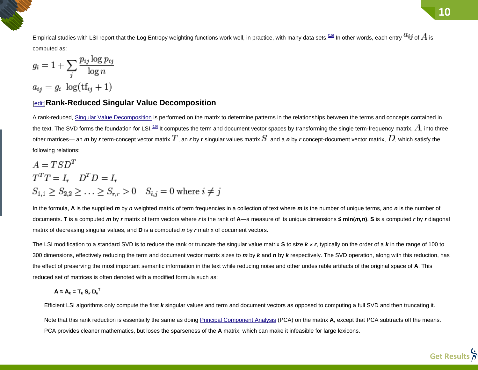Empirical studies with LSI report that the Log Entropy weighting functions work well, in practice, with many data sets.<sup>[\[15\]](http://en.wikipedia.org/wiki/Latent_semantic_indexing#cite_note-15)</sup> In other words, each entry  $a_{ij}$  of  $A$  is computed as:

$$
g_i = 1 + \sum_{j} \frac{p_{ij} \log p_{ij}}{\log n}
$$

$$
a_{ii} = g_i \log(\text{tf}_{ii} + 1)
$$

### <span id="page-9-0"></span>[\[edit\]](http://en.wikipedia.org/w/index.php?title=Latent_semantic_indexing&action=edit§ion=5)**Rank-Reduced Singular Value Decomposition**

A rank-reduced, [Singular Value Decomposition](http://en.wikipedia.org/wiki/Singular_Value_Decomposition) is performed on the matrix to determine patterns in the relationships between the terms and concepts contained in the text. The SVD forms the foundation for LSI.<sup>[\[16\]](http://en.wikipedia.org/wiki/Latent_semantic_indexing#cite_note-16)</sup> It computes the term and document vector spaces by transforming the single term-frequency matrix,  $A$ , into three other matrices— an *m* by *r* term-concept vector matrix  $T$ , an *r* by *r* singular values matrix  $S$ , and a *n* by *r* concept-document vector matrix,  $D$ , which satisfy the following relations:

$$
A = TSDT
$$
  
\n
$$
TTT = Ir \t DTD = Ir
$$
  
\n
$$
S1,1 \ge S2,2 \ge \dots \ge Sr,r > 0 \t Si,j = 0 \t where i \ne j
$$

In the formula, **A** is the supplied *m* by *n* weighted matrix of term frequencies in a collection of text where *m* is the number of unique terms, and *n* is the number of documents. T is a computed m by r matrix of term vectors where r is the rank of A—a measure of its unique dimensions  $\leq \min(m,n)$ . S is a computed r by r diagonal matrix of decreasing singular values, and **D** is a computed *n* by *r* matrix of document vectors.

The LSI modification to a standard SVD is to reduce the rank or truncate the singular value matrix **S** to size *k* « *r*, typically on the order of a *k* in the range of 100 to 300 dimensions, effectively reducing the term and document vector matrix sizes to *m* by *k* and *n* by *k* respectively. The SVD operation, along with this reduction, has the effect of preserving the most important semantic information in the text while reducing noise and other undesirable artifacts of the original space of **A**. This reduced set of matrices is often denoted with a modified formula such as:

$$
A \approx A_k = T_k S_k D_k^T
$$

Efficient LSI algorithms only compute the first *k* singular values and term and document vectors as opposed to computing a full SVD and then truncating it.

Note that this rank reduction is essentially the same as doing [Principal Component Analysis](http://en.wikipedia.org/wiki/Principal_Component_Analysis) (PCA) on the matrix **A**, except that PCA subtracts off the means. PCA provides cleaner mathematics, but loses the sparseness of the **A** matrix, which can make it infeasible for large lexicons.

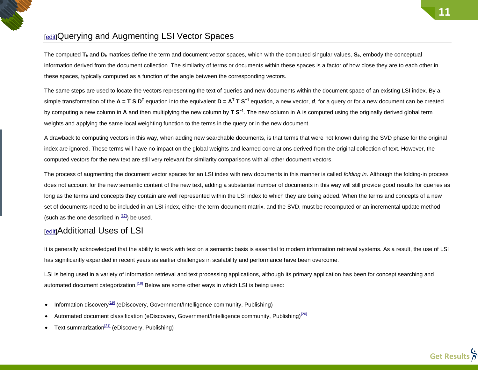# <span id="page-10-0"></span>*<u>Edit</u>*Querying and Augmenting LSI Vector Spaces

The computed **T***<sup>k</sup>* and **D***<sup>k</sup>* matrices define the term and document vector spaces, which with the computed singular values, **S***k*, embody the conceptual information derived from the document collection. The similarity of terms or documents within these spaces is a factor of how close they are to each other in these spaces, typically computed as a function of the angle between the corresponding vectors.

The same steps are used to locate the vectors representing the text of queries and new documents within the document space of an existing LSI index. By a simple transformation of the  $A = T S D<sup>T</sup>$  equation into the equivalent  $D = A<sup>T</sup> T S<sup>-1</sup>$  equation, a new vector, *d*, for a query or for a new document can be created by computing a new column in **A** and then multiplying the new column by **T S−1**. The new column in **A** is computed using the originally derived global term weights and applying the same local weighting function to the terms in the query or in the new document.

A drawback to computing vectors in this way, when adding new searchable documents, is that terms that were not known during the SVD phase for the original index are ignored. These terms will have no impact on the global weights and learned correlations derived from the original collection of text. However, the computed vectors for the new text are still very relevant for similarity comparisons with all other document vectors.

The process of augmenting the document vector spaces for an LSI index with new documents in this manner is called *folding in*. Although the folding-in process does not account for the new semantic content of the new text, adding a substantial number of documents in this way will still provide good results for queries as long as the terms and concepts they contain are well represented within the LSI index to which they are being added. When the terms and concepts of a new set of documents need to be included in an LSI index, either the term-document matrix, and the SVD, must be recomputed or an incremental update method (such as the one described in  $[17]$ ) be used.

# <span id="page-10-1"></span>[\[edit\]](http://en.wikipedia.org/w/index.php?title=Latent_semantic_indexing&action=edit§ion=7)Additional Uses of LSI

It is generally acknowledged that the ability to work with text on a semantic basis is essential to modern information retrieval systems. As a result, the use of LSI has significantly expanded in recent years as earlier challenges in scalability and performance have been overcome.

LSI is being used in a variety of information retrieval and text processing applications, although its primary application has been for concept searching and automated document categorization.<sup>[\[18\]](http://en.wikipedia.org/wiki/Latent_semantic_indexing#cite_note-18)</sup> Below are some other ways in which LSI is being used:

- **Information discovery**<sup>[\[19\]](http://en.wikipedia.org/wiki/Latent_semantic_indexing#cite_note-19)</sup> (eDiscovery, Government/Intelligence community, Publishing)
- Automated document classification (eDiscovery, Government/Intelligence community, Publishing)<sup>[\[20\]](http://en.wikipedia.org/wiki/Latent_semantic_indexing#cite_note-20)</sup>
- Text summarization<sup>[\[21\]](http://en.wikipedia.org/wiki/Latent_semantic_indexing#cite_note-21)</sup> (eDiscovery, Publishing)

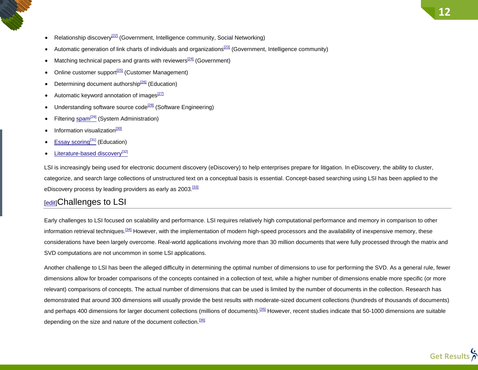- Relationship discovery<sup>[\[22\]](http://en.wikipedia.org/wiki/Latent_semantic_indexing#cite_note-22)</sup> (Government, Intelligence community, Social Networking)
- Automatic generation of link charts of individuals and organizations<sup>[\[23\]](http://en.wikipedia.org/wiki/Latent_semantic_indexing#cite_note-23)</sup> (Government, Intelligence community)
- Matching technical papers and grants with reviewers $[24]$  (Government)
- Online customer support<sup>[\[25\]](http://en.wikipedia.org/wiki/Latent_semantic_indexing#cite_note-25)</sup> (Customer Management)
- Determining document authorship<sup>[\[26\]](http://en.wikipedia.org/wiki/Latent_semantic_indexing#cite_note-26)</sup> (Education)
- Automatic keyword annotation of images $^{[27]}$  $^{[27]}$  $^{[27]}$
- Understanding software source code<sup>[\[28\]](http://en.wikipedia.org/wiki/Latent_semantic_indexing#cite_note-28)</sup> (Software Engineering)
- Filtering [spam](http://en.wikipedia.org/wiki/Spam_(electronic))<sup>[\[29\]](http://en.wikipedia.org/wiki/Spam_(electronic))</sup> (System Administration)
- Information visualization<sup>[\[30\]](http://en.wikipedia.org/wiki/Latent_semantic_indexing#cite_note-30)</sup>
- [Essay scoring](http://en.wikipedia.org/wiki/Automated_essay_scoring)<sup>[\[31\]](http://en.wikipedia.org/wiki/Automated_essay_scoring)</sup> (Education)
- [Literature-based discovery](http://en.wikipedia.org/wiki/Literature-based_discovery)<sup>[\[32\]](http://en.wikipedia.org/wiki/Literature-based_discovery)</sup>

LSI is increasingly being used for electronic document discovery (eDiscovery) to help enterprises prepare for litigation. In eDiscovery, the ability to cluster, categorize, and search large collections of unstructured text on a conceptual basis is essential. Concept-based searching using LSI has been applied to the eDiscovery process by leading providers as early as 2003.<sup>[\[33\]](http://en.wikipedia.org/wiki/Latent_semantic_indexing#cite_note-33)</sup>

## <span id="page-11-0"></span>[\[edit\]](http://en.wikipedia.org/w/index.php?title=Latent_semantic_indexing&action=edit§ion=8)Challenges to LSI

Early challenges to LSI focused on scalability and performance. LSI requires relatively high computational performance and memory in comparison to other information retrieval techniques.<sup>[\[34\]](http://en.wikipedia.org/wiki/Latent_semantic_indexing#cite_note-34)</sup> However, with the implementation of modern high-speed processors and the availability of inexpensive memory, these considerations have been largely overcome. Real-world applications involving more than 30 million documents that were fully processed through the matrix and SVD computations are not uncommon in some LSI applications.

Another challenge to LSI has been the alleged difficulty in determining the optimal number of dimensions to use for performing the SVD. As a general rule, fewer dimensions allow for broader comparisons of the concepts contained in a collection of text, while a higher number of dimensions enable more specific (or more relevant) comparisons of concepts. The actual number of dimensions that can be used is limited by the number of documents in the collection. Research has demonstrated that around 300 dimensions will usually provide the best results with moderate-sized document collections (hundreds of thousands of documents) and perhaps 400 dimensions for larger document collections (millions of documents).<sup>[\[35\]](http://en.wikipedia.org/wiki/Latent_semantic_indexing#cite_note-35)</sup> However, recent studies indicate that 50-1000 dimensions are suitable depending on the size and nature of the document collection.<sup>[\[36\]](http://en.wikipedia.org/wiki/Latent_semantic_indexing#cite_note-36)</sup>

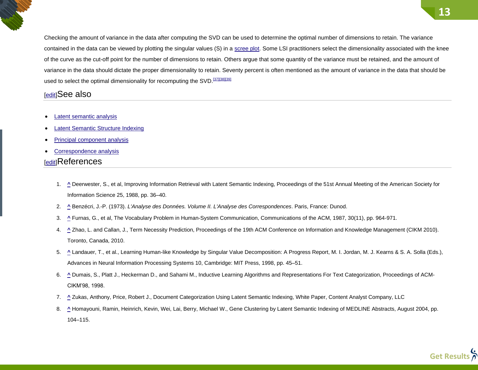Checking the amount of variance in the data after computing the SVD can be used to determine the optimal number of dimensions to retain. The variance contained in the data can be viewed by plotting the singular values (S) in a [scree plot.](http://en.wikipedia.org/wiki/Scree_plot) Some LSI practitioners select the dimensionality associated with the knee of the curve as the cut-off point for the number of dimensions to retain. Others argue that some quantity of the variance must be retained, and the amount of variance in the data should dictate the proper dimensionality to retain. Seventy percent is often mentioned as the amount of variance in the data that should be used to select the optimal dimensionality for recomputing the SVD.<sup>[\[37\]\[38\]\[](http://en.wikipedia.org/wiki/Latent_semantic_indexing#cite_note-37)[39\]](http://en.wikipedia.org/wiki/Latent_semantic_indexing#cite_note-39)</sup>

# <span id="page-12-0"></span>[\[edit\]](http://en.wikipedia.org/w/index.php?title=Latent_semantic_indexing&action=edit§ion=9)See also

- [Latent semantic analysis](http://en.wikipedia.org/wiki/Latent_semantic_analysis)
- [Latent Semantic Structure Indexing](http://en.wikipedia.org/wiki/Latent_Semantic_Structure_Indexing)
- [Principal component analysis](http://en.wikipedia.org/wiki/Principal_component_analysis)
- [Correspondence analysis](http://en.wikipedia.org/wiki/Correspondence_analysis)

# <span id="page-12-1"></span>[\[edit\]](http://en.wikipedia.org/w/index.php?title=Latent_semantic_indexing&action=edit§ion=10)References

- 1. **[^](http://en.wikipedia.org/wiki/Latent_semantic_indexing#cite_ref-1)** Deerwester, S., et al, Improving Information Retrieval with Latent Semantic Indexing, Proceedings of the 51st Annual Meeting of the American Society for Information Science 25, 1988, pp. 36–40.
- 2. **[^](http://en.wikipedia.org/wiki/Latent_semantic_indexing#cite_ref-2)** Benzécri, J.-P. (1973). *L'Analyse des Données. Volume II. L'Analyse des Correspondences*. Paris, France: Dunod.
- 3. **[^](http://en.wikipedia.org/wiki/Latent_semantic_indexing#cite_ref-3)** Furnas, G., et al, The Vocabulary Problem in Human-System Communication, Communications of the ACM, 1987, 30(11), pp. 964-971.
- 4. **[^](http://en.wikipedia.org/wiki/Latent_semantic_indexing#cite_ref-4)** Zhao, L. and Callan, J., Term Necessity Prediction, Proceedings of the 19th ACM Conference on Information and Knowledge Management (CIKM 2010). Toronto, Canada, 2010.
- 5. [^](http://en.wikipedia.org/wiki/Latent_semantic_indexing#cite_ref-5) Landauer, T., et al., Learning Human-like Knowledge by Singular Value Decomposition: A Progress Report, M. I. Jordan, M. J. Kearns & S. A. Solla (Eds.), Advances in Neural Information Processing Systems 10, Cambridge: MIT Press, 1998, pp. 45–51.
- 6. **[^](http://en.wikipedia.org/wiki/Latent_semantic_indexing#cite_ref-6)** Dumais, S., Platt J., Heckerman D., and Sahami M., Inductive Learning Algorithms and Representations For Text Categorization, Proceedings of ACM-CIKM'98, 1998.
- 7. **[^](http://en.wikipedia.org/wiki/Latent_semantic_indexing#cite_ref-7)** Zukas, Anthony, Price, Robert J., Document Categorization Using Latent Semantic Indexing, White Paper, Content Analyst Company, LLC
- 8. **[^](http://en.wikipedia.org/wiki/Latent_semantic_indexing#cite_ref-8)** Homayouni, Ramin, Heinrich, Kevin, Wei, Lai, Berry, Michael W., Gene Clustering by Latent Semantic Indexing of MEDLINE Abstracts, August 2004, pp. 104–115.

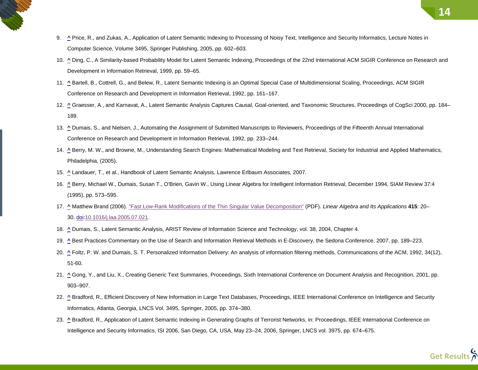- 9. <sup>A</sup> Price, R., and Zukas, A., Application of Latent Semantic Indexing to Processing of Noisy Text, Intelligence and Security Informatics, Lecture Notes in Computer Science, Volume 3495, Springer Publishing, 2005, pp. 602–603.
- 10. **[^](http://en.wikipedia.org/wiki/Latent_semantic_indexing#cite_ref-10)** Ding, C., A Similarity-based Probability Model for Latent Semantic Indexing, Proceedings of the 22nd International ACM SIGIR Conference on Research and Development in Information Retrieval, 1999, pp. 59–65.
- 11. **[^](http://en.wikipedia.org/wiki/Latent_semantic_indexing#cite_ref-11)** Bartell, B., Cottrell, G., and Belew, R., Latent Semantic Indexing is an Optimal Special Case of Multidimensional Scaling, Proceedings, ACM SIGIR Conference on Research and Development in Information Retrieval, 1992, pp. 161–167.
- 12. **[^](http://en.wikipedia.org/wiki/Latent_semantic_indexing#cite_ref-12)** Graesser, A., and Karnavat, A., Latent Semantic Analysis Captures Causal, Goal-oriented, and Taxonomic Structures, Proceedings of CogSci 2000, pp. 184– 189.
- 13. **[^](http://en.wikipedia.org/wiki/Latent_semantic_indexing#cite_ref-13)** Dumais, S., and Nielsen, J., Automating the Assignment of Submitted Manuscripts to Reviewers, Proceedings of the Fifteenth Annual International Conference on Research and Development in Information Retrieval, 1992, pp. 233–244.
- 14. **[^](http://en.wikipedia.org/wiki/Latent_semantic_indexing#cite_ref-14)** Berry, M. W., and Browne, M., Understanding Search Engines: Mathematical Modeling and Text Retrieval, Society for Industrial and Applied Mathematics, Philadelphia, (2005).
- 15. **[^](http://en.wikipedia.org/wiki/Latent_semantic_indexing#cite_ref-15)** Landauer, T., et al., Handbook of Latent Semantic Analysis, Lawrence Erlbaum Associates, 2007.
- 16. **[^](http://en.wikipedia.org/wiki/Latent_semantic_indexing#cite_ref-16)** Berry, Michael W., Dumais, Susan T., O'Brien, Gavin W., Using Linear Algebra for Intelligent Information Retrieval, December 1994, SIAM Review 37:4 (1995), pp. 573–595.
- 17. **[^](http://en.wikipedia.org/wiki/Latent_semantic_indexing#cite_ref-brand2006_17-0)** Matthew Brand (2006). ["Fast Low-Rank Modifications of the Thin Singular Value Decomposition"](http://www.merl.com/reports/docs/TR2006-059.pdf) (PDF). *Linear Algebra and Its Applications* **415**: 20– 30. [doi:](http://en.wikipedia.org/wiki/Digital_object_identifier)[10.1016/j.laa.2005.07.021.](http://dx.doi.org/10.1016%2Fj.laa.2005.07.021)
- 18. **[^](http://en.wikipedia.org/wiki/Latent_semantic_indexing#cite_ref-18)** Dumais, S., Latent Semantic Analysis, ARIST Review of Information Science and Technology, vol. 38, 2004, Chapter 4.
- 19. **[^](http://en.wikipedia.org/wiki/Latent_semantic_indexing#cite_ref-19)** Best Practices Commentary on the Use of Search and Information Retrieval Methods in E-Discovery, the Sedona Conference, 2007, pp. 189–223.
- 20. **[^](http://en.wikipedia.org/wiki/Latent_semantic_indexing#cite_ref-20)** Foltz, P. W. and Dumais, S. T. Personalized Information Delivery: An analysis of information filtering methods, Communications of the ACM, 1992, 34(12), 51-60.
- 21. **[^](http://en.wikipedia.org/wiki/Latent_semantic_indexing#cite_ref-21)** Gong, Y., and Liu, X., Creating Generic Text Summaries, Proceedings, Sixth International Conference on Document Analysis and Recognition, 2001, pp. 903–907.
- 22. **[^](http://en.wikipedia.org/wiki/Latent_semantic_indexing#cite_ref-22)** Bradford, R., Efficient Discovery of New Information in Large Text Databases, Proceedings, IEEE International Conference on Intelligence and Security Informatics, Atlanta, Georgia, LNCS Vol. 3495, Springer, 2005, pp. 374–380.
- 23. **[^](http://en.wikipedia.org/wiki/Latent_semantic_indexing#cite_ref-23)** Bradford, R., Application of Latent Semantic Indexing in Generating Graphs of Terrorist Networks, in: Proceedings, IEEE International Conference on Intelligence and Security Informatics, ISI 2006, San Diego, CA, USA, May 23–24, 2006, Springer, LNCS vol. 3975, pp. 674–675.

**14**

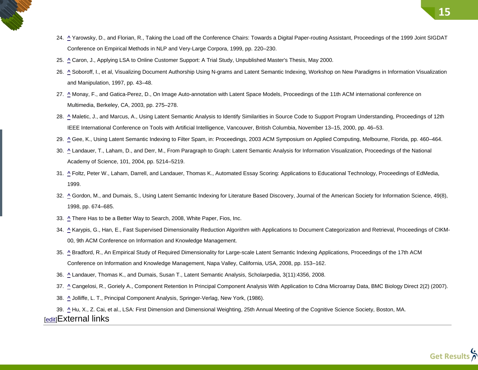- 24. **[^](http://en.wikipedia.org/wiki/Latent_semantic_indexing#cite_ref-24)** Yarowsky, D., and Florian, R., Taking the Load off the Conference Chairs: Towards a Digital Paper-routing Assistant, Proceedings of the 1999 Joint SIGDAT Conference on Empirical Methods in NLP and Very-Large Corpora, 1999, pp. 220–230.
- 25. **[^](http://en.wikipedia.org/wiki/Latent_semantic_indexing#cite_ref-25)** Caron, J., Applying LSA to Online Customer Support: A Trial Study, Unpublished Master's Thesis, May 2000.
- 26. [^](http://en.wikipedia.org/wiki/Latent_semantic_indexing#cite_ref-26) Soboroff, I., et al, Visualizing Document Authorship Using N-grams and Latent Semantic Indexing, Workshop on New Paradigms in Information Visualization and Manipulation, 1997, pp. 43–48.
- 27. [^](http://en.wikipedia.org/wiki/Latent_semantic_indexing#cite_ref-27) Monay, F., and Gatica-Perez, D., On Image Auto-annotation with Latent Space Models, Proceedings of the 11th ACM international conference on Multimedia, Berkeley, CA, 2003, pp. 275–278.
- 28. **[^](http://en.wikipedia.org/wiki/Latent_semantic_indexing#cite_ref-28)** Maletic, J., and Marcus, A., Using Latent Semantic Analysis to Identify Similarities in Source Code to Support Program Understanding, Proceedings of 12th IEEE International Conference on Tools with Artificial Intelligence, Vancouver, British Columbia, November 13–15, 2000, pp. 46–53.
- 29. **[^](http://en.wikipedia.org/wiki/Latent_semantic_indexing#cite_ref-29)** Gee, K., Using Latent Semantic Indexing to Filter Spam, in: Proceedings, 2003 ACM Symposium on Applied Computing, Melbourne, Florida, pp. 460–464.
- 30. **[^](http://en.wikipedia.org/wiki/Latent_semantic_indexing#cite_ref-30)** Landauer, T., Laham, D., and Derr, M., From Paragraph to Graph: Latent Semantic Analysis for Information Visualization, Proceedings of the National Academy of Science, 101, 2004, pp. 5214–5219.
- 31. **[^](http://en.wikipedia.org/wiki/Latent_semantic_indexing#cite_ref-31)** Foltz, Peter W., Laham, Darrell, and Landauer, Thomas K., Automated Essay Scoring: Applications to Educational Technology, Proceedings of EdMedia, 1999.
- 32. **[^](http://en.wikipedia.org/wiki/Latent_semantic_indexing#cite_ref-32)** Gordon, M., and Dumais, S., Using Latent Semantic Indexing for Literature Based Discovery, Journal of the American Society for Information Science, 49(8), 1998, pp. 674–685.
- 33. **[^](http://en.wikipedia.org/wiki/Latent_semantic_indexing#cite_ref-33)** There Has to be a Better Way to Search, 2008, White Paper, Fios, Inc.
- 34. **[^](http://en.wikipedia.org/wiki/Latent_semantic_indexing#cite_ref-34)** Karypis, G., Han, E., Fast Supervised Dimensionality Reduction Algorithm with Applications to Document Categorization and Retrieval, Proceedings of CIKM-00, 9th ACM Conference on Information and Knowledge Management.
- 35. **[^](http://en.wikipedia.org/wiki/Latent_semantic_indexing#cite_ref-35)** Bradford, R., An Empirical Study of Required Dimensionality for Large-scale Latent Semantic Indexing Applications, Proceedings of the 17th ACM Conference on Information and Knowledge Management, Napa Valley, California, USA, 2008, pp. 153–162.
- 36. **[^](http://en.wikipedia.org/wiki/Latent_semantic_indexing#cite_ref-36)** Landauer, Thomas K., and Dumais, Susan T., Latent Semantic Analysis, Scholarpedia, 3(11):4356, 2008.
- 37. **[^](http://en.wikipedia.org/wiki/Latent_semantic_indexing#cite_ref-37)** Cangelosi, R., Goriely A., Component Retention In Principal Component Analysis With Application to Cdna Microarray Data, BMC Biology Direct 2(2) (2007).
- 38. **[^](http://en.wikipedia.org/wiki/Latent_semantic_indexing#cite_ref-38)** Jolliffe, L. T., Principal Component Analysis, Springer-Verlag, New York, (1986).

<span id="page-14-0"></span>39. **[^](http://en.wikipedia.org/wiki/Latent_semantic_indexing#cite_ref-39)** Hu, X., Z. Cai, et al., LSA: First Dimension and Dimensional Weighting, 25th Annual Meeting of the Cognitive Science Society, Boston, MA. [\[edit\]](http://en.wikipedia.org/w/index.php?title=Latent_semantic_indexing&action=edit§ion=11)External links

**15**